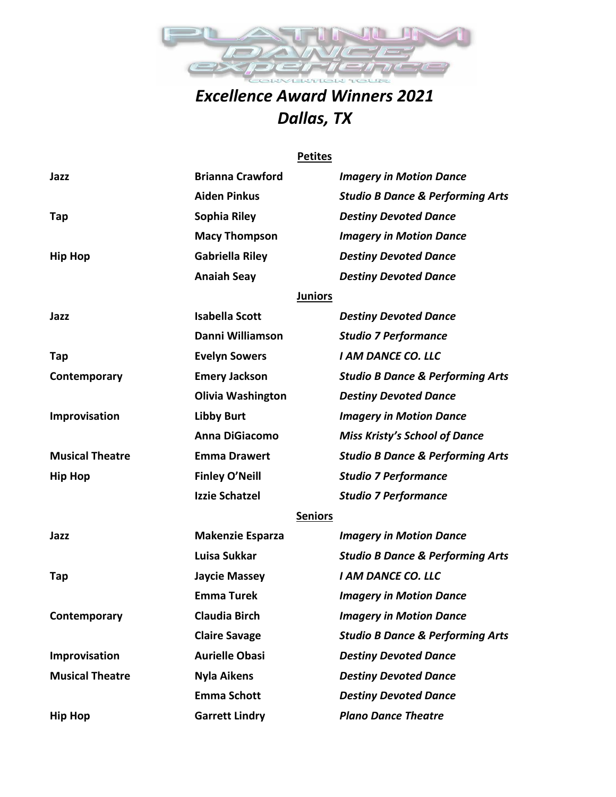

## *Excellence Award Winners 2021 Dallas, TX*

#### **Petites**

| Jazz                   | <b>Brianna Crawford</b>  | <b>Imagery in Motion Dance</b>              |
|------------------------|--------------------------|---------------------------------------------|
|                        | <b>Aiden Pinkus</b>      | <b>Studio B Dance &amp; Performing Arts</b> |
| Tap                    | Sophia Riley             | <b>Destiny Devoted Dance</b>                |
|                        | <b>Macy Thompson</b>     | <b>Imagery in Motion Dance</b>              |
| <b>Hip Hop</b>         | <b>Gabriella Riley</b>   | <b>Destiny Devoted Dance</b>                |
|                        | <b>Anaiah Seay</b>       | <b>Destiny Devoted Dance</b>                |
|                        | <b>Juniors</b>           |                                             |
| Jazz                   | <b>Isabella Scott</b>    | <b>Destiny Devoted Dance</b>                |
|                        | Danni Williamson         | <b>Studio 7 Performance</b>                 |
| Tap                    | <b>Evelyn Sowers</b>     | <b>I AM DANCE CO. LLC</b>                   |
| Contemporary           | <b>Emery Jackson</b>     | <b>Studio B Dance &amp; Performing Arts</b> |
|                        | <b>Olivia Washington</b> | <b>Destiny Devoted Dance</b>                |
| Improvisation          | <b>Libby Burt</b>        | <b>Imagery in Motion Dance</b>              |
|                        | <b>Anna DiGiacomo</b>    | <b>Miss Kristy's School of Dance</b>        |
| <b>Musical Theatre</b> | <b>Emma Drawert</b>      | <b>Studio B Dance &amp; Performing Arts</b> |
| <b>Hip Hop</b>         | <b>Finley O'Neill</b>    | <b>Studio 7 Performance</b>                 |
|                        | <b>Izzie Schatzel</b>    | <b>Studio 7 Performance</b>                 |
|                        | <b>Seniors</b>           |                                             |
| Jazz                   | <b>Makenzie Esparza</b>  | <b>Imagery in Motion Dance</b>              |
|                        | Luisa Sukkar             | <b>Studio B Dance &amp; Performing Arts</b> |
| Tap                    | <b>Jaycie Massey</b>     | <b>I AM DANCE CO. LLC</b>                   |
|                        | <b>Emma Turek</b>        | <b>Imagery in Motion Dance</b>              |
| Contemporary           | <b>Claudia Birch</b>     | <b>Imagery in Motion Dance</b>              |
|                        | <b>Claire Savage</b>     | <b>Studio B Dance &amp; Performing Arts</b> |
| Improvisation          | <b>Aurielle Obasi</b>    | <b>Destiny Devoted Dance</b>                |
| <b>Musical Theatre</b> | <b>Nyla Aikens</b>       | <b>Destiny Devoted Dance</b>                |
|                        | <b>Emma Schott</b>       | <b>Destiny Devoted Dance</b>                |
| <b>Hip Hop</b>         | <b>Garrett Lindry</b>    | <b>Plano Dance Theatre</b>                  |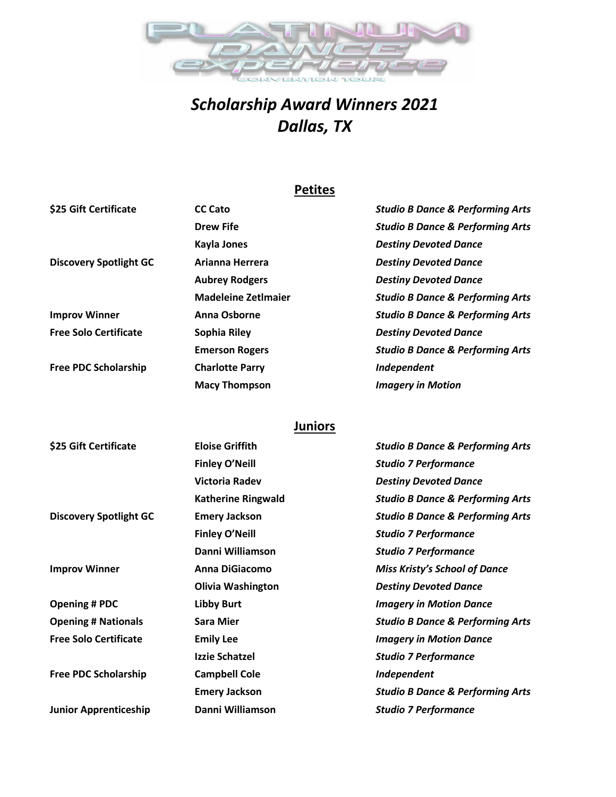

# *Scholarship Award Winners 2021 Dallas, TX*

## **Petites**

| \$25 Gift Certificate         | <b>CC Cato</b>             | <b>Studio B Dance &amp; Performing Arts</b> |
|-------------------------------|----------------------------|---------------------------------------------|
|                               | <b>Drew Fife</b>           | <b>Studio B Dance &amp; Performing Arts</b> |
|                               | <b>Kayla Jones</b>         | <b>Destiny Devoted Dance</b>                |
| <b>Discovery Spotlight GC</b> | Arianna Herrera            | <b>Destiny Devoted Dance</b>                |
|                               | <b>Aubrey Rodgers</b>      | <b>Destiny Devoted Dance</b>                |
|                               | <b>Madeleine Zetlmaier</b> | <b>Studio B Dance &amp; Performing Arts</b> |
| <b>Improv Winner</b>          | Anna Osborne               | <b>Studio B Dance &amp; Performing Arts</b> |
| <b>Free Solo Certificate</b>  | Sophia Riley               | <b>Destiny Devoted Dance</b>                |
|                               | <b>Emerson Rogers</b>      | <b>Studio B Dance &amp; Performing Arts</b> |
| <b>Free PDC Scholarship</b>   | <b>Charlotte Parry</b>     | Independent                                 |
|                               | <b>Macy Thompson</b>       | <b>Imagery in Motion</b>                    |

## **Juniors**

| \$25 Gift Certificate         | <b>Eloise Griffith</b>    | <b>Studio B Dance &amp; Performing Arts</b> |
|-------------------------------|---------------------------|---------------------------------------------|
|                               | <b>Finley O'Neill</b>     | <b>Studio 7 Performance</b>                 |
|                               | <b>Victoria Radev</b>     | <b>Destiny Devoted Dance</b>                |
|                               | <b>Katherine Ringwald</b> | <b>Studio B Dance &amp; Performing Arts</b> |
| <b>Discovery Spotlight GC</b> | <b>Emery Jackson</b>      | <b>Studio B Dance &amp; Performing Arts</b> |
|                               | <b>Finley O'Neill</b>     | <b>Studio 7 Performance</b>                 |
|                               | Danni Williamson          | <b>Studio 7 Performance</b>                 |
| <b>Improv Winner</b>          | Anna DiGiacomo            | <b>Miss Kristy's School of Dance</b>        |
|                               | <b>Olivia Washington</b>  | <b>Destiny Devoted Dance</b>                |
| <b>Opening # PDC</b>          | <b>Libby Burt</b>         | <b>Imagery in Motion Dance</b>              |
| <b>Opening # Nationals</b>    | <b>Sara Mier</b>          | <b>Studio B Dance &amp; Performing Arts</b> |
| <b>Free Solo Certificate</b>  | <b>Emily Lee</b>          | <b>Imagery in Motion Dance</b>              |
|                               | <b>Izzie Schatzel</b>     | <b>Studio 7 Performance</b>                 |
| <b>Free PDC Scholarship</b>   | <b>Campbell Cole</b>      | Independent                                 |
|                               | <b>Emery Jackson</b>      | <b>Studio B Dance &amp; Performing Arts</b> |
| <b>Junior Apprenticeship</b>  | Danni Williamson          | <b>Studio 7 Performance</b>                 |